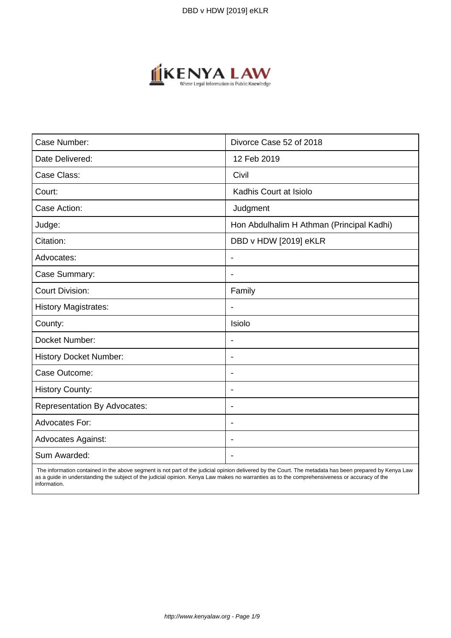

| Case Number:                        | Divorce Case 52 of 2018                   |
|-------------------------------------|-------------------------------------------|
| Date Delivered:                     | 12 Feb 2019                               |
| Case Class:                         | Civil                                     |
| Court:                              | Kadhis Court at Isiolo                    |
| Case Action:                        | Judgment                                  |
| Judge:                              | Hon Abdulhalim H Athman (Principal Kadhi) |
| Citation:                           | DBD v HDW [2019] eKLR                     |
| Advocates:                          | $\blacksquare$                            |
| Case Summary:                       | $\overline{\phantom{a}}$                  |
| <b>Court Division:</b>              | Family                                    |
| <b>History Magistrates:</b>         |                                           |
| County:                             | Isiolo                                    |
| Docket Number:                      |                                           |
| History Docket Number:              | $\blacksquare$                            |
| Case Outcome:                       | $\blacksquare$                            |
| <b>History County:</b>              | $\blacksquare$                            |
| <b>Representation By Advocates:</b> | $\overline{\phantom{0}}$                  |
| Advocates For:                      | $\overline{\phantom{0}}$                  |
| <b>Advocates Against:</b>           |                                           |
| Sum Awarded:                        |                                           |

 The information contained in the above segment is not part of the judicial opinion delivered by the Court. The metadata has been prepared by Kenya Law as a guide in understanding the subject of the judicial opinion. Kenya Law makes no warranties as to the comprehensiveness or accuracy of the information.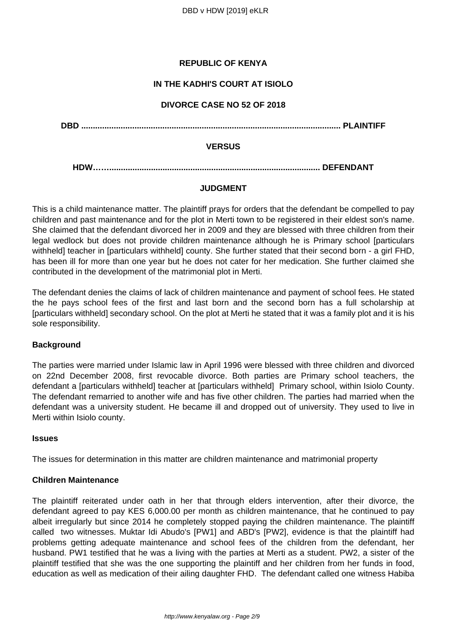# **REPUBLIC OF KENYA**

# **IN THE KADHI'S COURT AT ISIOLO**

## **DIVORCE CASE NO 52 OF 2018**

**DBD ................................................................................................................ PLAINTIFF**

#### **VERSUS**

**HDW……........................................................................................... DEFENDANT**

# **JUDGMENT**

This is a child maintenance matter. The plaintiff prays for orders that the defendant be compelled to pay children and past maintenance and for the plot in Merti town to be registered in their eldest son's name. She claimed that the defendant divorced her in 2009 and they are blessed with three children from their legal wedlock but does not provide children maintenance although he is Primary school [particulars withheld] teacher in [particulars withheld] county. She further stated that their second born - a girl FHD, has been ill for more than one year but he does not cater for her medication. She further claimed she contributed in the development of the matrimonial plot in Merti.

The defendant denies the claims of lack of children maintenance and payment of school fees. He stated the he pays school fees of the first and last born and the second born has a full scholarship at [particulars withheld] secondary school. On the plot at Merti he stated that it was a family plot and it is his sole responsibility.

#### **Background**

The parties were married under Islamic law in April 1996 were blessed with three children and divorced on 22nd December 2008, first revocable divorce. Both parties are Primary school teachers, the defendant a [particulars withheld] teacher at [particulars withheld] Primary school, within Isiolo County. The defendant remarried to another wife and has five other children. The parties had married when the defendant was a university student. He became ill and dropped out of university. They used to live in Merti within Isiolo county.

#### **Issues**

The issues for determination in this matter are children maintenance and matrimonial property

# **Children Maintenance**

The plaintiff reiterated under oath in her that through elders intervention, after their divorce, the defendant agreed to pay KES 6,000.00 per month as children maintenance, that he continued to pay albeit irregularly but since 2014 he completely stopped paying the children maintenance. The plaintiff called two witnesses. Muktar Idi Abudo's [PW1] and ABD's [PW2], evidence is that the plaintiff had problems getting adequate maintenance and school fees of the children from the defendant, her husband. PW1 testified that he was a living with the parties at Merti as a student. PW2, a sister of the plaintiff testified that she was the one supporting the plaintiff and her children from her funds in food, education as well as medication of their ailing daughter FHD. The defendant called one witness Habiba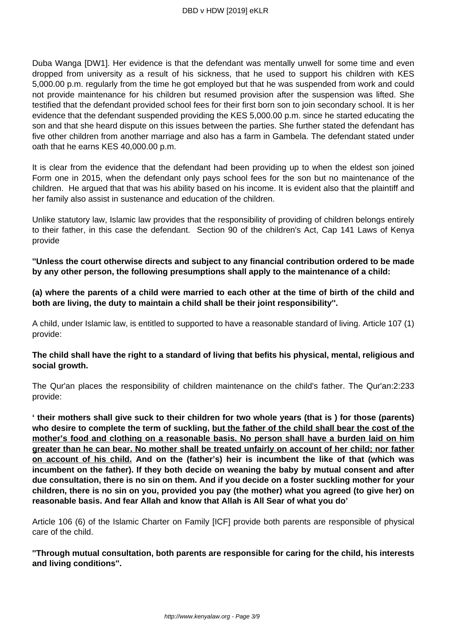Duba Wanga [DW1]. Her evidence is that the defendant was mentally unwell for some time and even dropped from university as a result of his sickness, that he used to support his children with KES 5,000.00 p.m. regularly from the time he got employed but that he was suspended from work and could not provide maintenance for his children but resumed provision after the suspension was lifted. She testified that the defendant provided school fees for their first born son to join secondary school. It is her evidence that the defendant suspended providing the KES 5,000.00 p.m. since he started educating the son and that she heard dispute on this issues between the parties. She further stated the defendant has five other children from another marriage and also has a farm in Gambela. The defendant stated under oath that he earns KES 40,000.00 p.m.

It is clear from the evidence that the defendant had been providing up to when the eldest son joined Form one in 2015, when the defendant only pays school fees for the son but no maintenance of the children. He argued that that was his ability based on his income. It is evident also that the plaintiff and her family also assist in sustenance and education of the children.

Unlike statutory law, Islamic law provides that the responsibility of providing of children belongs entirely to their father, in this case the defendant. Section 90 of the children's Act, Cap 141 Laws of Kenya provide

**''Unless the court otherwise directs and subject to any financial contribution ordered to be made by any other person, the following presumptions shall apply to the maintenance of a child:**

**(a) where the parents of a child were married to each other at the time of birth of the child and both are living, the duty to maintain a child shall be their joint responsibility''.** 

A child, under Islamic law, is entitled to supported to have a reasonable standard of living. Article 107 (1) provide:

# **The child shall have the right to a standard of living that befits his physical, mental, religious and social growth.**

The Qur'an places the responsibility of children maintenance on the child's father. The Qur'an:2:233 provide:

**' their mothers shall give suck to their children for two whole years (that is ) for those (parents) who desire to complete the term of suckling, but the father of the child shall bear the cost of the mother's food and clothing on a reasonable basis. No person shall have a burden laid on him greater than he can bear. No mother shall be treated unfairly on account of her child; nor father on account of his child. And on the (father's) heir is incumbent the like of that (which was incumbent on the father). If they both decide on weaning the baby by mutual consent and after due consultation, there is no sin on them. And if you decide on a foster suckling mother for your children, there is no sin on you, provided you pay (the mother) what you agreed (to give her) on reasonable basis. And fear Allah and know that Allah is All Sear of what you do'** 

Article 106 (6) of the Islamic Charter on Family [ICF] provide both parents are responsible of physical care of the child.

**''Through mutual consultation, both parents are responsible for caring for the child, his interests and living conditions''.**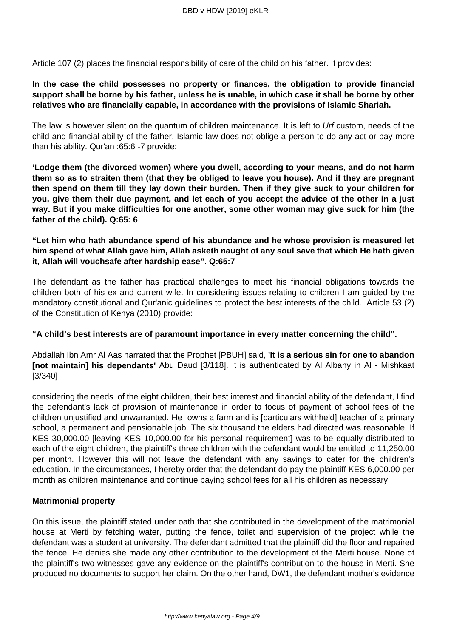Article 107 (2) places the financial responsibility of care of the child on his father. It provides:

# **In the case the child possesses no property or finances, the obligation to provide financial support shall be borne by his father, unless he is unable, in which case it shall be borne by other relatives who are financially capable, in accordance with the provisions of Islamic Shariah.**

The law is however silent on the quantum of children maintenance. It is left to Urf custom, needs of the child and financial ability of the father. Islamic law does not oblige a person to do any act or pay more than his ability. Qur'an :65:6 -7 provide:

**'Lodge them (the divorced women) where you dwell, according to your means, and do not harm them so as to straiten them (that they be obliged to leave you house). And if they are pregnant then spend on them till they lay down their burden. Then if they give suck to your children for you, give them their due payment, and let each of you accept the advice of the other in a just way. But if you make difficulties for one another, some other woman may give suck for him (the father of the child). Q:65: 6**

# **"Let him who hath abundance spend of his abundance and he whose provision is measured let him spend of what Allah gave him, Allah asketh naught of any soul save that which He hath given it, Allah will vouchsafe after hardship ease". Q:65:7**

The defendant as the father has practical challenges to meet his financial obligations towards the children both of his ex and current wife. In considering issues relating to children I am guided by the mandatory constitutional and Qur'anic guidelines to protect the best interests of the child. Article 53 (2) of the Constitution of Kenya (2010) provide:

#### **"A child's best interests are of paramount importance in every matter concerning the child".**

Abdallah Ibn Amr Al Aas narrated that the Prophet [PBUH] said, **'It is a serious sin for one to abandon [not maintain] his dependants'** Abu Daud [3/118]. It is authenticated by Al Albany in Al - Mishkaat [3/340]

considering the needs of the eight children, their best interest and financial ability of the defendant, I find the defendant's lack of provision of maintenance in order to focus of payment of school fees of the children unjustified and unwarranted. He owns a farm and is [particulars withheld] teacher of a primary school, a permanent and pensionable job. The six thousand the elders had directed was reasonable. If KES 30,000.00 [leaving KES 10,000.00 for his personal requirement] was to be equally distributed to each of the eight children, the plaintiff's three children with the defendant would be entitled to 11,250.00 per month. However this will not leave the defendant with any savings to cater for the children's education. In the circumstances, I hereby order that the defendant do pay the plaintiff KES 6,000.00 per month as children maintenance and continue paying school fees for all his children as necessary.

#### **Matrimonial property**

On this issue, the plaintiff stated under oath that she contributed in the development of the matrimonial house at Merti by fetching water, putting the fence, toilet and supervision of the project while the defendant was a student at university. The defendant admitted that the plaintiff did the floor and repaired the fence. He denies she made any other contribution to the development of the Merti house. None of the plaintiff's two witnesses gave any evidence on the plaintiff's contribution to the house in Merti. She produced no documents to support her claim. On the other hand, DW1, the defendant mother's evidence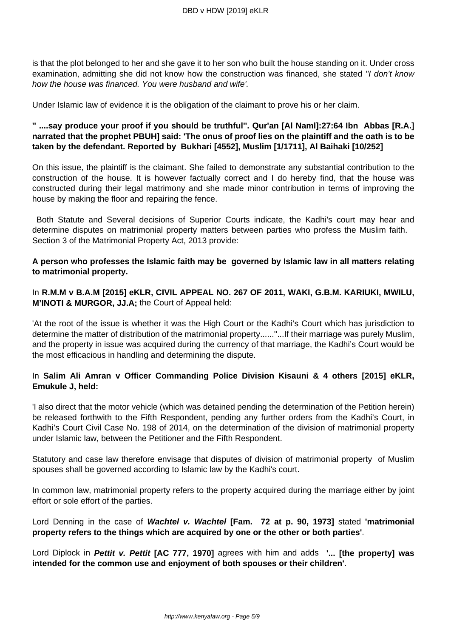is that the plot belonged to her and she gave it to her son who built the house standing on it. Under cross examination, admitting she did not know how the construction was financed, she stated "I don't know how the house was financed. You were husband and wife'.

Under Islamic law of evidence it is the obligation of the claimant to prove his or her claim.

# **'' ....say produce your proof if you should be truthful''. Qur'an [Al Naml]:27:64 Ibn Abbas [R.A.] narrated that the prophet PBUH] said: 'The onus of proof lies on the plaintiff and the oath is to be taken by the defendant. Reported by Bukhari [4552], Muslim [1/1711], Al Baihaki [10/252]**

On this issue, the plaintiff is the claimant. She failed to demonstrate any substantial contribution to the construction of the house. It is however factually correct and I do hereby find, that the house was constructed during their legal matrimony and she made minor contribution in terms of improving the house by making the floor and repairing the fence.

Both Statute and Several decisions of Superior Courts indicate, the Kadhi's court may hear and determine disputes on matrimonial property matters between parties who profess the Muslim faith. Section 3 of the Matrimonial Property Act, 2013 provide:

## **A person who professes the Islamic faith may be governed by Islamic law in all matters relating to matrimonial property.**

## In **R.M.M v B.A.M [2015] eKLR, CIVIL APPEAL NO. 267 OF 2011, WAKI, G.B.M. KARIUKI, MWILU, M'INOTI & MURGOR, JJ.A;** the Court of Appeal held:

'At the root of the issue is whether it was the High Court or the Kadhi's Court which has jurisdiction to determine the matter of distribution of the matrimonial property......''...If their marriage was purely Muslim, and the property in issue was acquired during the currency of that marriage, the Kadhi's Court would be the most efficacious in handling and determining the dispute.

# In **Salim Ali Amran v Officer Commanding Police Division Kisauni & 4 others [2015] eKLR, Emukule J, held:**

'I also direct that the motor vehicle (which was detained pending the determination of the Petition herein) be released forthwith to the Fifth Respondent, pending any further orders from the Kadhi's Court, in Kadhi's Court Civil Case No. 198 of 2014, on the determination of the division of matrimonial property under Islamic law, between the Petitioner and the Fifth Respondent.

Statutory and case law therefore envisage that disputes of division of matrimonial property of Muslim spouses shall be governed according to Islamic law by the Kadhi's court.

In common law, matrimonial property refers to the property acquired during the marriage either by joint effort or sole effort of the parties.

Lord Denning in the case of **Wachtel v. Wachtel [Fam. 72 at p. 90, 1973]** stated **'matrimonial property refers to the things which are acquired by one or the other or both parties'**.

Lord Diplock in **Pettit v. Pettit [AC 777, 1970]** agrees with him and adds **'... [the property] was intended for the common use and enjoyment of both spouses or their children'**.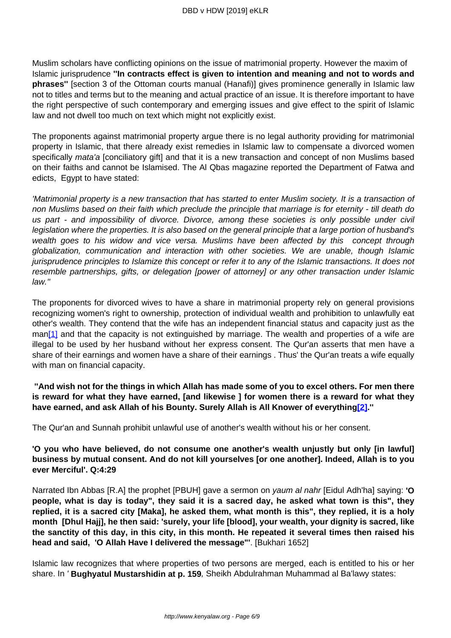Muslim scholars have conflicting opinions on the issue of matrimonial property. However the maxim of Islamic jurisprudence **''In contracts effect is given to intention and meaning and not to words and phrases''** [section 3 of the Ottoman courts manual (Hanafi)] gives prominence generally in Islamic law not to titles and terms but to the meaning and actual practice of an issue. It is therefore important to have the right perspective of such contemporary and emerging issues and give effect to the spirit of Islamic law and not dwell too much on text which might not explicitly exist.

The proponents against matrimonial property argue there is no legal authority providing for matrimonial property in Islamic, that there already exist remedies in Islamic law to compensate a divorced women specifically *mata'a* [conciliatory gift] and that it is a new transaction and concept of non Muslims based on their faiths and cannot be Islamised. The Al Qbas magazine reported the Department of Fatwa and edicts, Egypt to have stated:

'Matrimonial property is a new transaction that has started to enter Muslim society. It is a transaction of non Muslims based on their faith which preclude the principle that marriage is for eternity - till death do us part - and impossibility of divorce. Divorce, among these societies is only possible under civil legislation where the properties. It is also based on the general principle that a large portion of husband's wealth goes to his widow and vice versa. Muslims have been affected by this concept through globalization, communication and interaction with other societies. We are unable, though Islamic jurisprudence principles to Islamize this concept or refer it to any of the Islamic transactions. It does not resemble partnerships, gifts, or delegation [power of attorney] or any other transaction under Islamic law.''

The proponents for divorced wives to have a share in matrimonial property rely on general provisions recognizing women's right to ownership, protection of individual wealth and prohibition to unlawfully eat other's wealth. They contend that the wife has an independent financial status and capacity just as the man<sup>[1]</sup> and that the capacity is not extinguished by marriage. The wealth and properties of a wife are illegal to be used by her husband without her express consent. The Qur'an asserts that men have a share of their earnings and women have a share of their earnings . Thus' the Qur'an treats a wife equally with man on financial capacity.

**''And wish not for the things in which Allah has made some of you to excel others. For men there is reward for what they have earned, [and likewise ] for women there is a reward for what they have earned, and ask Allah of his Bounty. Surely Allah is All Knower of everything[2].''**

The Qur'an and Sunnah prohibit unlawful use of another's wealth without his or her consent.

**'O you who have believed, do not consume one another's wealth unjustly but only [in lawful] business by mutual consent. And do not kill yourselves [or one another]. Indeed, Allah is to you ever Merciful'. Q:4:29** 

Narrated Ibn Abbas [R.A] the prophet [PBUH] gave a sermon on yaum al nahr [Eidul Adh'ha] saying: **'O people, what is day is today", they said it is a sacred day, he asked what town is this", they replied, it is a sacred city [Maka], he asked them, what month is this", they replied, it is a holy month [Dhul Hajj], he then said: 'surely, your life [blood], your wealth, your dignity is sacred, like the sanctity of this day, in this city, in this month. He repeated it several times then raised his head and said, 'O Allah Have I delivered the message"'**. [Bukhari 1652]

Islamic law recognizes that where properties of two persons are merged, each is entitled to his or her share. In ' **Bughyatul Mustarshidin at p. 159**, Sheikh Abdulrahman Muhammad al Ba'lawy states: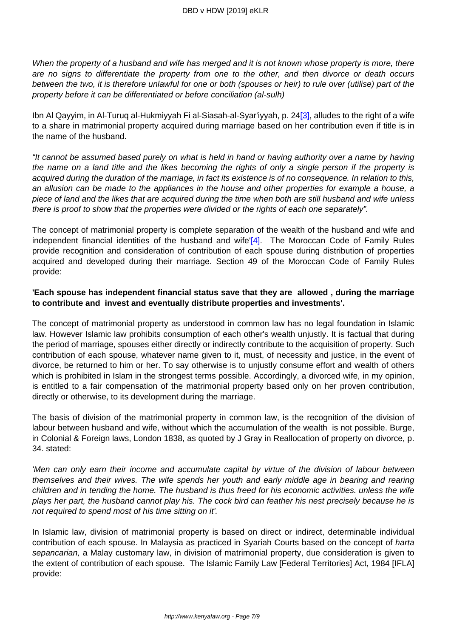When the property of a husband and wife has merged and it is not known whose property is more, there are no signs to differentiate the property from one to the other, and then divorce or death occurs between the two, it is therefore unlawful for one or both (spouses or heir) to rule over (utilise) part of the property before it can be differentiated or before conciliation (al-sulh)

Ibn Al Qayyim, in Al-Turuq al-Hukmiyyah Fi al-Siasah-al-Syar'iyyah, p. 24<sup>[3]</sup>, alludes to the right of a wife to a share in matrimonial property acquired during marriage based on her contribution even if title is in the name of the husband.

"It cannot be assumed based purely on what is held in hand or having authority over a name by having the name on a land title and the likes becoming the rights of only a single person if the property is acquired during the duration of the marriage, in fact its existence is of no consequence. In relation to this, an allusion can be made to the appliances in the house and other properties for example a house, a piece of land and the likes that are acquired during the time when both are still husband and wife unless there is proof to show that the properties were divided or the rights of each one separately".

The concept of matrimonial property is complete separation of the wealth of the husband and wife and independent financial identities of the husband and wife' $[4]$ . The Moroccan Code of Family Rules provide recognition and consideration of contribution of each spouse during distribution of properties acquired and developed during their marriage. Section 49 of the Moroccan Code of Family Rules provide:

## **'Each spouse has independent financial status save that they are allowed , during the marriage to contribute and invest and eventually distribute properties and investments'.**

The concept of matrimonial property as understood in common law has no legal foundation in Islamic law. However Islamic law prohibits consumption of each other's wealth unjustly. It is factual that during the period of marriage, spouses either directly or indirectly contribute to the acquisition of property. Such contribution of each spouse, whatever name given to it, must, of necessity and justice, in the event of divorce, be returned to him or her. To say otherwise is to unjustly consume effort and wealth of others which is prohibited in Islam in the strongest terms possible. Accordingly, a divorced wife, in my opinion, is entitled to a fair compensation of the matrimonial property based only on her proven contribution, directly or otherwise, to its development during the marriage.

The basis of division of the matrimonial property in common law, is the recognition of the division of labour between husband and wife, without which the accumulation of the wealth is not possible. Burge, in Colonial & Foreign laws, London 1838, as quoted by J Gray in Reallocation of property on divorce, p. 34. stated:

'Men can only earn their income and accumulate capital by virtue of the division of labour between themselves and their wives. The wife spends her youth and early middle age in bearing and rearing children and in tending the home. The husband is thus freed for his economic activities. unless the wife plays her part, the husband cannot play his. The cock bird can feather his nest precisely because he is not required to spend most of his time sitting on it'.

In Islamic law, division of matrimonial property is based on direct or indirect, determinable individual contribution of each spouse. In Malaysia as practiced in Syariah Courts based on the concept of harta sepancarian, a Malay customary law, in division of matrimonial property, due consideration is given to the extent of contribution of each spouse. The Islamic Family Law [Federal Territories] Act, 1984 [IFLA] provide: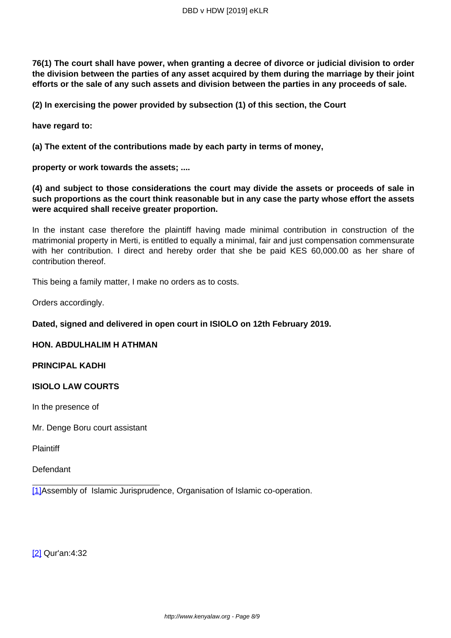**76(1) The court shall have power, when granting a decree of divorce or judicial division to order the division between the parties of any asset acquired by them during the marriage by their joint efforts or the sale of any such assets and division between the parties in any proceeds of sale.** 

**(2) In exercising the power provided by subsection (1) of this section, the Court**

**have regard to:** 

**(a) The extent of the contributions made by each party in terms of money,**

**property or work towards the assets; ....**

**(4) and subject to those considerations the court may divide the assets or proceeds of sale in such proportions as the court think reasonable but in any case the party whose effort the assets were acquired shall receive greater proportion.** 

In the instant case therefore the plaintiff having made minimal contribution in construction of the matrimonial property in Merti, is entitled to equally a minimal, fair and just compensation commensurate with her contribution. I direct and hereby order that she be paid KES 60,000.00 as her share of contribution thereof.

This being a family matter, I make no orders as to costs.

Orders accordingly.

**Dated, signed and delivered in open court in ISIOLO on 12th February 2019.**

#### **HON. ABDULHALIM H ATHMAN**

#### **PRINCIPAL KADHI**

#### **ISIOLO LAW COURTS**

In the presence of

Mr. Denge Boru court assistant

**Plaintiff** 

Defendant

[1]Assembly of Islamic Jurisprudence, Organisation of Islamic co-operation.

[2] Qur'an:4:32